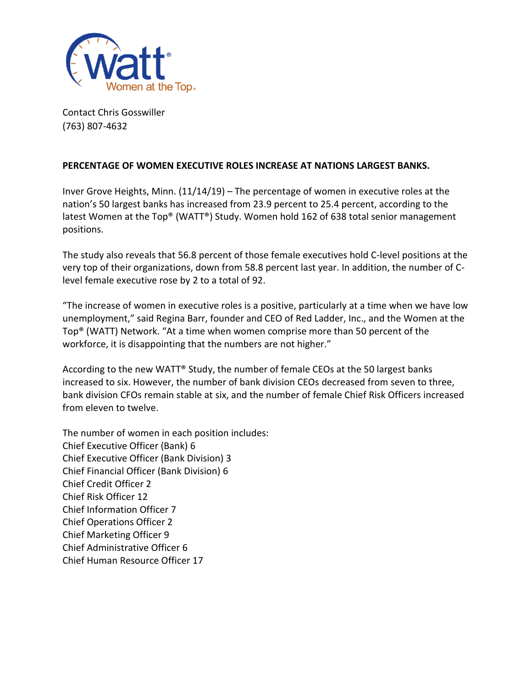

Contact Chris Gosswiller (763) 807-4632

## **PERCENTAGE OF WOMEN EXECUTIVE ROLES INCREASE AT NATIONS LARGEST BANKS.**

Inver Grove Heights, Minn. (11/14/19) – The percentage of women in executive roles at the nation's 50 largest banks has increased from 23.9 percent to 25.4 percent, according to the latest Women at the Top® (WATT®) Study. Women hold 162 of 638 total senior management positions.

The study also reveals that 56.8 percent of those female executives hold C-level positions at the very top of their organizations, down from 58.8 percent last year. In addition, the number of Clevel female executive rose by 2 to a total of 92.

"The increase of women in executive roles is a positive, particularly at a time when we have low unemployment," said Regina Barr, founder and CEO of Red Ladder, Inc., and the Women at the Top® (WATT) Network. "At a time when women comprise more than 50 percent of the workforce, it is disappointing that the numbers are not higher."

According to the new WATT® Study, the number of female CEOs at the 50 largest banks increased to six. However, the number of bank division CEOs decreased from seven to three, bank division CFOs remain stable at six, and the number of female Chief Risk Officers increased from eleven to twelve.

The number of women in each position includes: Chief Executive Officer (Bank) 6 Chief Executive Officer (Bank Division) 3 Chief Financial Officer (Bank Division) 6 Chief Credit Officer 2 Chief Risk Officer 12 Chief Information Officer 7 Chief Operations Officer 2 Chief Marketing Officer 9 Chief Administrative Officer 6 Chief Human Resource Officer 17